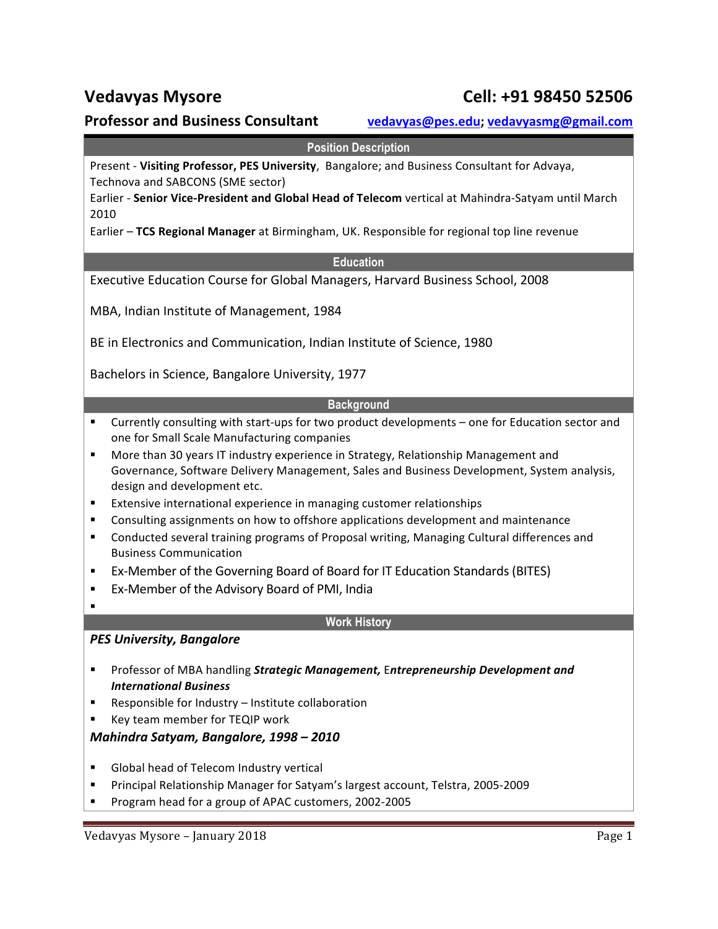# **Professor and Business Consultant vedavyas@pes.edu;** vedavyasmg@gmail.com

### **Position Description**

Present - Visiting Professor, PES University, Bangalore; and Business Consultant for Advaya, Technova and SABCONS (SME sector)

Earlier - Senior Vice-President and Global Head of Telecom vertical at Mahindra-Satyam until March 2010

Earlier - TCS Regional Manager at Birmingham, UK. Responsible for regional top line revenue

### **Education**

Executive Education Course for Global Managers, Harvard Business School, 2008

MBA, Indian Institute of Management, 1984

BE in Electronics and Communication, Indian Institute of Science, 1980

Bachelors in Science, Bangalore University, 1977

### **Background**

- " Currently consulting with start-ups for two product developments one for Education sector and one for Small Scale Manufacturing companies
- " More than 30 years IT industry experience in Strategy, Relationship Management and Governance, Software Delivery Management, Sales and Business Development, System analysis, design and development etc.
- **Extensive international experience in managing customer relationships**
- **EXECONSUM** Consulting assignments on how to offshore applications development and maintenance
- " Conducted several training programs of Proposal writing, Managing Cultural differences and Business Communication
- **Ex-Member of the Governing Board of Board for IT Education Standards (BITES)**
- Ex-Member of the Advisory Board of PMI, India
- !

### **Work History**

### **PES University, Bangalore**

- **.** Professor of MBA handling *Strategic Management,* Entrepreneurship Development and *International Business*
- $\blacksquare$  Responsible for Industry Institute collaboration
- Key team member for TEQIP work

### *Mahindra Satyam, Bangalore, 1998 – 2010*

- Global head of Telecom Industry vertical
- Principal Relationship Manager for Satyam's largest account, Telstra, 2005-2009
- Program head for a group of APAC customers, 2002-2005

# **Vedavyas Mysore Cell: +91 98450 52506**